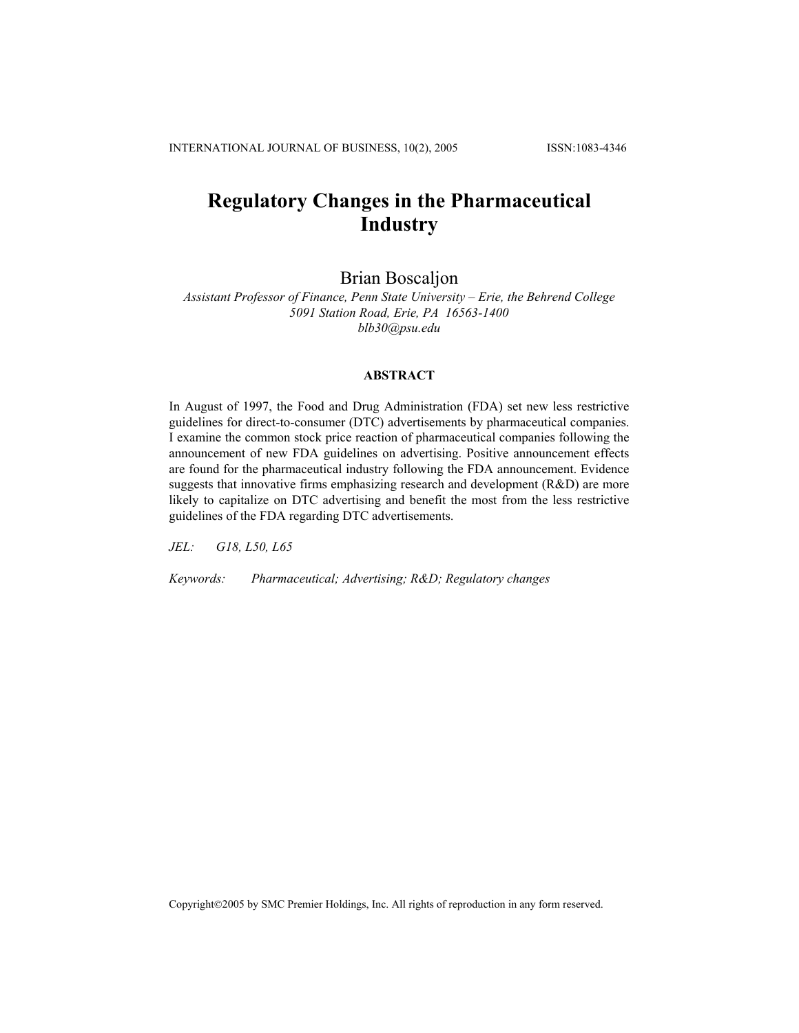# **Regulatory Changes in the Pharmaceutical Industry**

# Brian Boscaljon

*Assistant Professor of Finance, Penn State University – Erie, the Behrend College 5091 Station Road, Erie, PA 16563-1400 blb30@psu.edu* 

#### **ABSTRACT**

In August of 1997, the Food and Drug Administration (FDA) set new less restrictive guidelines for direct-to-consumer (DTC) advertisements by pharmaceutical companies. I examine the common stock price reaction of pharmaceutical companies following the announcement of new FDA guidelines on advertising. Positive announcement effects are found for the pharmaceutical industry following the FDA announcement. Evidence suggests that innovative firms emphasizing research and development (R&D) are more likely to capitalize on DTC advertising and benefit the most from the less restrictive guidelines of the FDA regarding DTC advertisements.

*JEL: G18, L50, L65*

*Keywords: Pharmaceutical; Advertising; R&D; Regulatory changes* 

Copyright©2005 by SMC Premier Holdings, Inc. All rights of reproduction in any form reserved.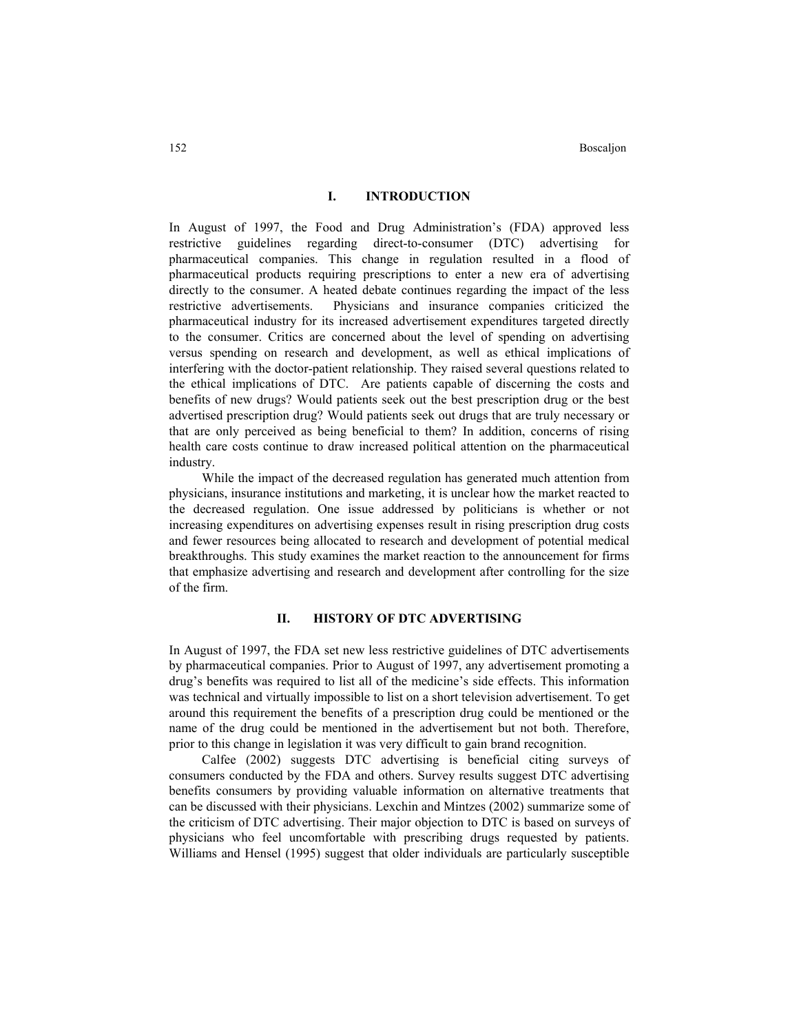#### **I. INTRODUCTION**

In August of 1997, the Food and Drug Administration's (FDA) approved less restrictive guidelines regarding direct-to-consumer (DTC) advertising for pharmaceutical companies. This change in regulation resulted in a flood of pharmaceutical products requiring prescriptions to enter a new era of advertising directly to the consumer. A heated debate continues regarding the impact of the less restrictive advertisements. Physicians and insurance companies criticized the pharmaceutical industry for its increased advertisement expenditures targeted directly to the consumer. Critics are concerned about the level of spending on advertising versus spending on research and development, as well as ethical implications of interfering with the doctor-patient relationship. They raised several questions related to the ethical implications of DTC. Are patients capable of discerning the costs and benefits of new drugs? Would patients seek out the best prescription drug or the best advertised prescription drug? Would patients seek out drugs that are truly necessary or that are only perceived as being beneficial to them? In addition, concerns of rising health care costs continue to draw increased political attention on the pharmaceutical industry.

 While the impact of the decreased regulation has generated much attention from physicians, insurance institutions and marketing, it is unclear how the market reacted to the decreased regulation. One issue addressed by politicians is whether or not increasing expenditures on advertising expenses result in rising prescription drug costs and fewer resources being allocated to research and development of potential medical breakthroughs. This study examines the market reaction to the announcement for firms that emphasize advertising and research and development after controlling for the size of the firm.

#### **II. HISTORY OF DTC ADVERTISING**

In August of 1997, the FDA set new less restrictive guidelines of DTC advertisements by pharmaceutical companies. Prior to August of 1997, any advertisement promoting a drug's benefits was required to list all of the medicine's side effects. This information was technical and virtually impossible to list on a short television advertisement. To get around this requirement the benefits of a prescription drug could be mentioned or the name of the drug could be mentioned in the advertisement but not both. Therefore, prior to this change in legislation it was very difficult to gain brand recognition.

 Calfee (2002) suggests DTC advertising is beneficial citing surveys of consumers conducted by the FDA and others. Survey results suggest DTC advertising benefits consumers by providing valuable information on alternative treatments that can be discussed with their physicians. Lexchin and Mintzes (2002) summarize some of the criticism of DTC advertising. Their major objection to DTC is based on surveys of physicians who feel uncomfortable with prescribing drugs requested by patients. Williams and Hensel (1995) suggest that older individuals are particularly susceptible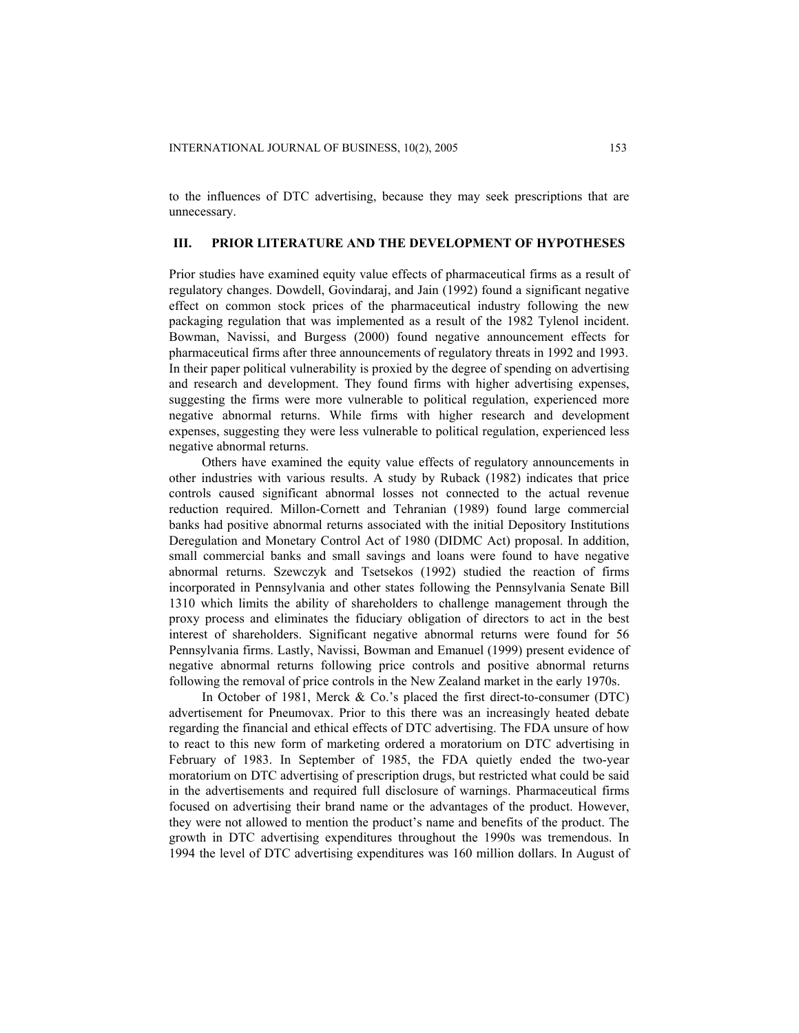to the influences of DTC advertising, because they may seek prescriptions that are unnecessary.

# **III. PRIOR LITERATURE AND THE DEVELOPMENT OF HYPOTHESES**

Prior studies have examined equity value effects of pharmaceutical firms as a result of regulatory changes. Dowdell, Govindaraj, and Jain (1992) found a significant negative effect on common stock prices of the pharmaceutical industry following the new packaging regulation that was implemented as a result of the 1982 Tylenol incident. Bowman, Navissi, and Burgess (2000) found negative announcement effects for pharmaceutical firms after three announcements of regulatory threats in 1992 and 1993. In their paper political vulnerability is proxied by the degree of spending on advertising and research and development. They found firms with higher advertising expenses, suggesting the firms were more vulnerable to political regulation, experienced more negative abnormal returns. While firms with higher research and development expenses, suggesting they were less vulnerable to political regulation, experienced less negative abnormal returns.

 Others have examined the equity value effects of regulatory announcements in other industries with various results. A study by Ruback (1982) indicates that price controls caused significant abnormal losses not connected to the actual revenue reduction required. Millon-Cornett and Tehranian (1989) found large commercial banks had positive abnormal returns associated with the initial Depository Institutions Deregulation and Monetary Control Act of 1980 (DIDMC Act) proposal. In addition, small commercial banks and small savings and loans were found to have negative abnormal returns. Szewczyk and Tsetsekos (1992) studied the reaction of firms incorporated in Pennsylvania and other states following the Pennsylvania Senate Bill 1310 which limits the ability of shareholders to challenge management through the proxy process and eliminates the fiduciary obligation of directors to act in the best interest of shareholders. Significant negative abnormal returns were found for 56 Pennsylvania firms. Lastly, Navissi, Bowman and Emanuel (1999) present evidence of negative abnormal returns following price controls and positive abnormal returns following the removal of price controls in the New Zealand market in the early 1970s.

 In October of 1981, Merck & Co.'s placed the first direct-to-consumer (DTC) advertisement for Pneumovax. Prior to this there was an increasingly heated debate regarding the financial and ethical effects of DTC advertising. The FDA unsure of how to react to this new form of marketing ordered a moratorium on DTC advertising in February of 1983. In September of 1985, the FDA quietly ended the two-year moratorium on DTC advertising of prescription drugs, but restricted what could be said in the advertisements and required full disclosure of warnings. Pharmaceutical firms focused on advertising their brand name or the advantages of the product. However, they were not allowed to mention the product's name and benefits of the product. The growth in DTC advertising expenditures throughout the 1990s was tremendous. In 1994 the level of DTC advertising expenditures was 160 million dollars. In August of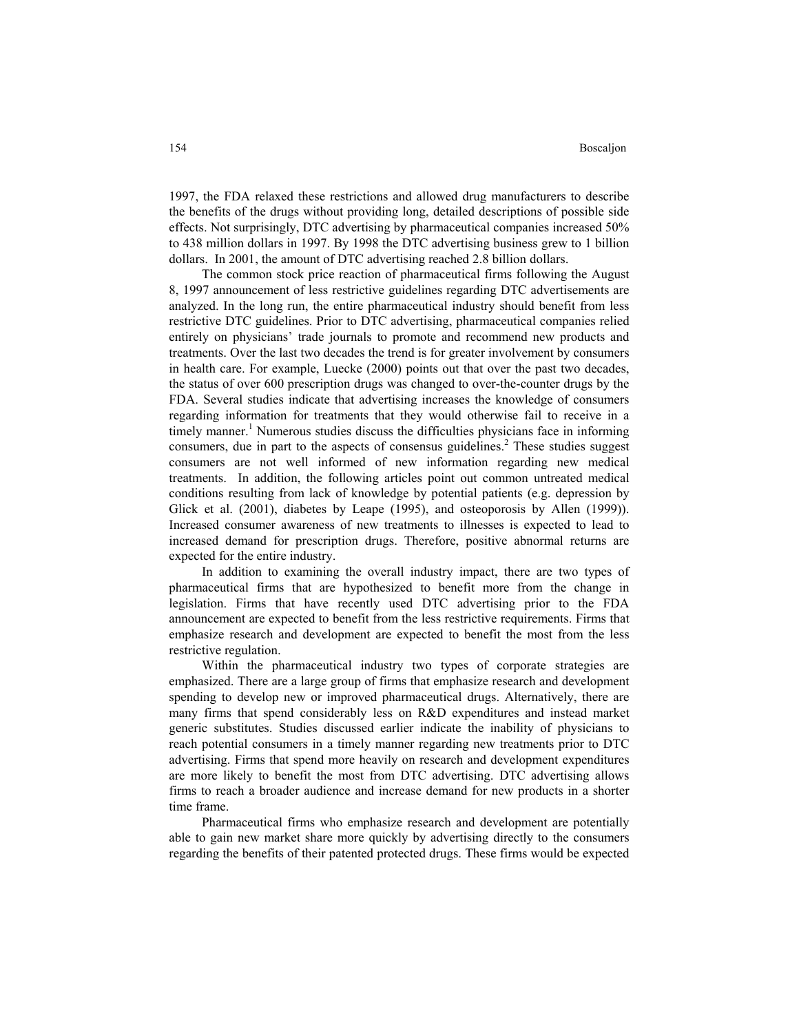1997, the FDA relaxed these restrictions and allowed drug manufacturers to describe the benefits of the drugs without providing long, detailed descriptions of possible side effects. Not surprisingly, DTC advertising by pharmaceutical companies increased 50% to 438 million dollars in 1997. By 1998 the DTC advertising business grew to 1 billion dollars. In 2001, the amount of DTC advertising reached 2.8 billion dollars.

 The common stock price reaction of pharmaceutical firms following the August 8, 1997 announcement of less restrictive guidelines regarding DTC advertisements are analyzed. In the long run, the entire pharmaceutical industry should benefit from less restrictive DTC guidelines. Prior to DTC advertising, pharmaceutical companies relied entirely on physicians' trade journals to promote and recommend new products and treatments. Over the last two decades the trend is for greater involvement by consumers in health care. For example, Luecke (2000) points out that over the past two decades, the status of over 600 prescription drugs was changed to over-the-counter drugs by the FDA. Several studies indicate that advertising increases the knowledge of consumers regarding information for treatments that they would otherwise fail to receive in a timely manner.<sup>1</sup> Numerous studies discuss the difficulties physicians face in informing consumers, due in part to the aspects of consensus guidelines.<sup>2</sup> These studies suggest consumers are not well informed of new information regarding new medical treatments. In addition, the following articles point out common untreated medical conditions resulting from lack of knowledge by potential patients (e.g. depression by Glick et al. (2001), diabetes by Leape (1995), and osteoporosis by Allen (1999)). Increased consumer awareness of new treatments to illnesses is expected to lead to increased demand for prescription drugs. Therefore, positive abnormal returns are expected for the entire industry.

 In addition to examining the overall industry impact, there are two types of pharmaceutical firms that are hypothesized to benefit more from the change in legislation. Firms that have recently used DTC advertising prior to the FDA announcement are expected to benefit from the less restrictive requirements. Firms that emphasize research and development are expected to benefit the most from the less restrictive regulation.

 Within the pharmaceutical industry two types of corporate strategies are emphasized. There are a large group of firms that emphasize research and development spending to develop new or improved pharmaceutical drugs. Alternatively, there are many firms that spend considerably less on R&D expenditures and instead market generic substitutes. Studies discussed earlier indicate the inability of physicians to reach potential consumers in a timely manner regarding new treatments prior to DTC advertising. Firms that spend more heavily on research and development expenditures are more likely to benefit the most from DTC advertising. DTC advertising allows firms to reach a broader audience and increase demand for new products in a shorter time frame.

 Pharmaceutical firms who emphasize research and development are potentially able to gain new market share more quickly by advertising directly to the consumers regarding the benefits of their patented protected drugs. These firms would be expected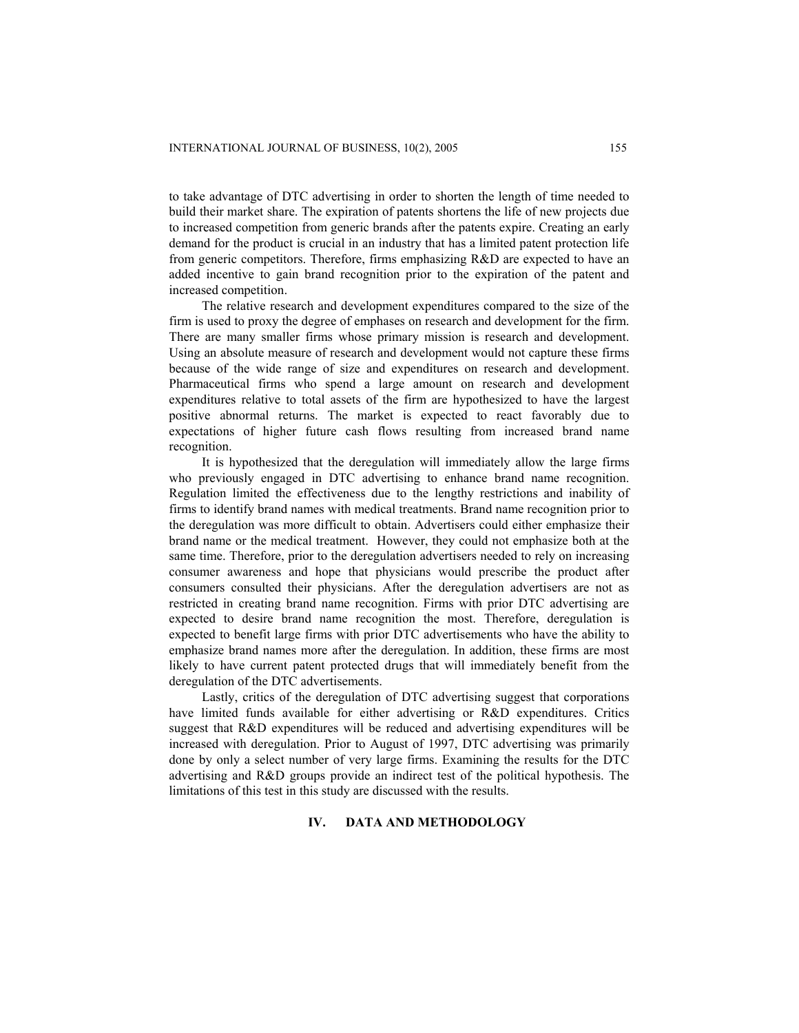to take advantage of DTC advertising in order to shorten the length of time needed to build their market share. The expiration of patents shortens the life of new projects due to increased competition from generic brands after the patents expire. Creating an early demand for the product is crucial in an industry that has a limited patent protection life from generic competitors. Therefore, firms emphasizing R&D are expected to have an added incentive to gain brand recognition prior to the expiration of the patent and increased competition.

 The relative research and development expenditures compared to the size of the firm is used to proxy the degree of emphases on research and development for the firm. There are many smaller firms whose primary mission is research and development. Using an absolute measure of research and development would not capture these firms because of the wide range of size and expenditures on research and development. Pharmaceutical firms who spend a large amount on research and development expenditures relative to total assets of the firm are hypothesized to have the largest positive abnormal returns. The market is expected to react favorably due to expectations of higher future cash flows resulting from increased brand name recognition.

 It is hypothesized that the deregulation will immediately allow the large firms who previously engaged in DTC advertising to enhance brand name recognition. Regulation limited the effectiveness due to the lengthy restrictions and inability of firms to identify brand names with medical treatments. Brand name recognition prior to the deregulation was more difficult to obtain. Advertisers could either emphasize their brand name or the medical treatment. However, they could not emphasize both at the same time. Therefore, prior to the deregulation advertisers needed to rely on increasing consumer awareness and hope that physicians would prescribe the product after consumers consulted their physicians. After the deregulation advertisers are not as restricted in creating brand name recognition. Firms with prior DTC advertising are expected to desire brand name recognition the most. Therefore, deregulation is expected to benefit large firms with prior DTC advertisements who have the ability to emphasize brand names more after the deregulation. In addition, these firms are most likely to have current patent protected drugs that will immediately benefit from the deregulation of the DTC advertisements.

 Lastly, critics of the deregulation of DTC advertising suggest that corporations have limited funds available for either advertising or R&D expenditures. Critics suggest that R&D expenditures will be reduced and advertising expenditures will be increased with deregulation. Prior to August of 1997, DTC advertising was primarily done by only a select number of very large firms. Examining the results for the DTC advertising and R&D groups provide an indirect test of the political hypothesis. The limitations of this test in this study are discussed with the results.

#### **IV. DATA AND METHODOLOGY**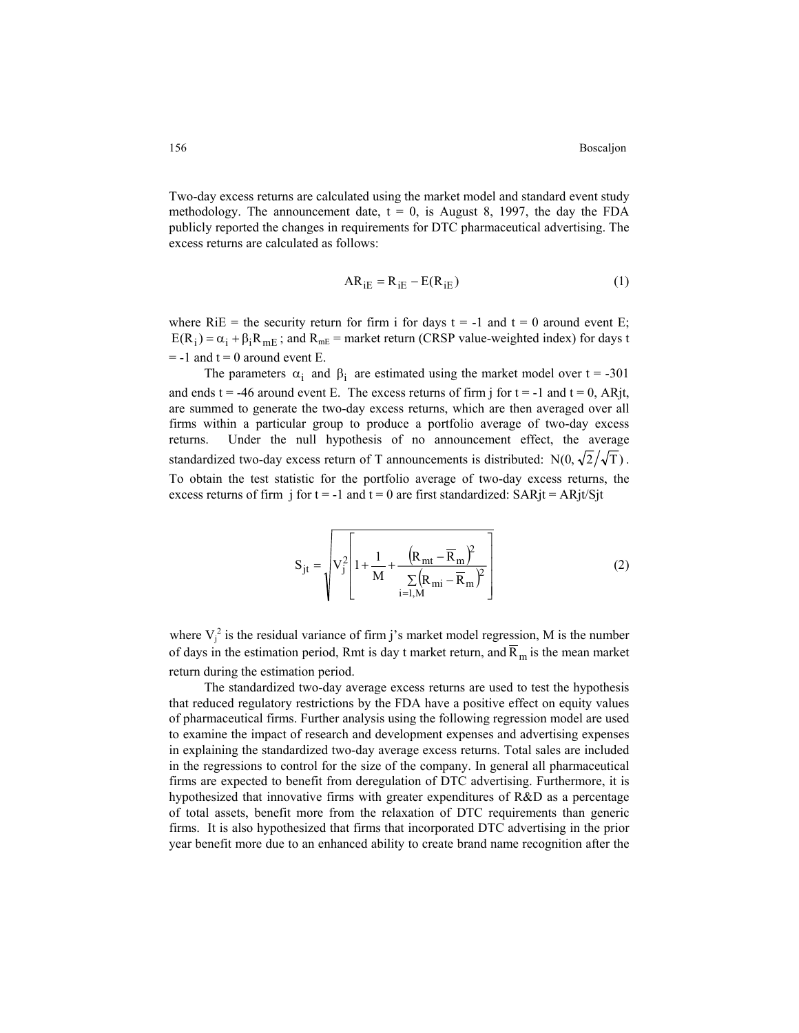Two-day excess returns are calculated using the market model and standard event study methodology. The announcement date,  $t = 0$ , is August 8, 1997, the day the FDA publicly reported the changes in requirements for DTC pharmaceutical advertising. The excess returns are calculated as follows:

$$
AR_{iE} = R_{iE} - E(R_{iE})
$$
 (1)

where  $RiE$  = the security return for firm i for days t = -1 and t = 0 around event E;  $E(R_i) = \alpha_i + \beta_i R_{mE}$ ; and  $R_{mE}$  = market return (CRSP value-weighted index) for days t  $= -1$  and  $t = 0$  around event E.

The parameters  $\alpha_i$  and  $\beta_i$  are estimated using the market model over t = -301 and ends t = -46 around event E. The excess returns of firm j for t = -1 and t = 0, ARjt, are summed to generate the two-day excess returns, which are then averaged over all firms within a particular group to produce a portfolio average of two-day excess returns. Under the null hypothesis of no announcement effect, the average standardized two-day excess return of T announcements is distributed:  $N(0, \sqrt{2}/\sqrt{T})$ . To obtain the test statistic for the portfolio average of two-day excess returns, the excess returns of firm j for  $t = -1$  and  $t = 0$  are first standardized: SARjt = ARjt/Sjt

$$
S_{jt} = \sqrt{V_j^2 \left[1 + \frac{1}{M} + \frac{(R_{mt} - \overline{R}_m)^2}{\sum_{i=1,M} (R_{mi} - \overline{R}_m)^2}\right]}
$$
(2)

where  $V_i^2$  is the residual variance of firm j's market model regression, M is the number of days in the estimation period, Rmt is day t market return, and  $\overline{R}_m$  is the mean market return during the estimation period.

The standardized two-day average excess returns are used to test the hypothesis that reduced regulatory restrictions by the FDA have a positive effect on equity values of pharmaceutical firms. Further analysis using the following regression model are used to examine the impact of research and development expenses and advertising expenses in explaining the standardized two-day average excess returns. Total sales are included in the regressions to control for the size of the company. In general all pharmaceutical firms are expected to benefit from deregulation of DTC advertising. Furthermore, it is hypothesized that innovative firms with greater expenditures of R&D as a percentage of total assets, benefit more from the relaxation of DTC requirements than generic firms. It is also hypothesized that firms that incorporated DTC advertising in the prior year benefit more due to an enhanced ability to create brand name recognition after the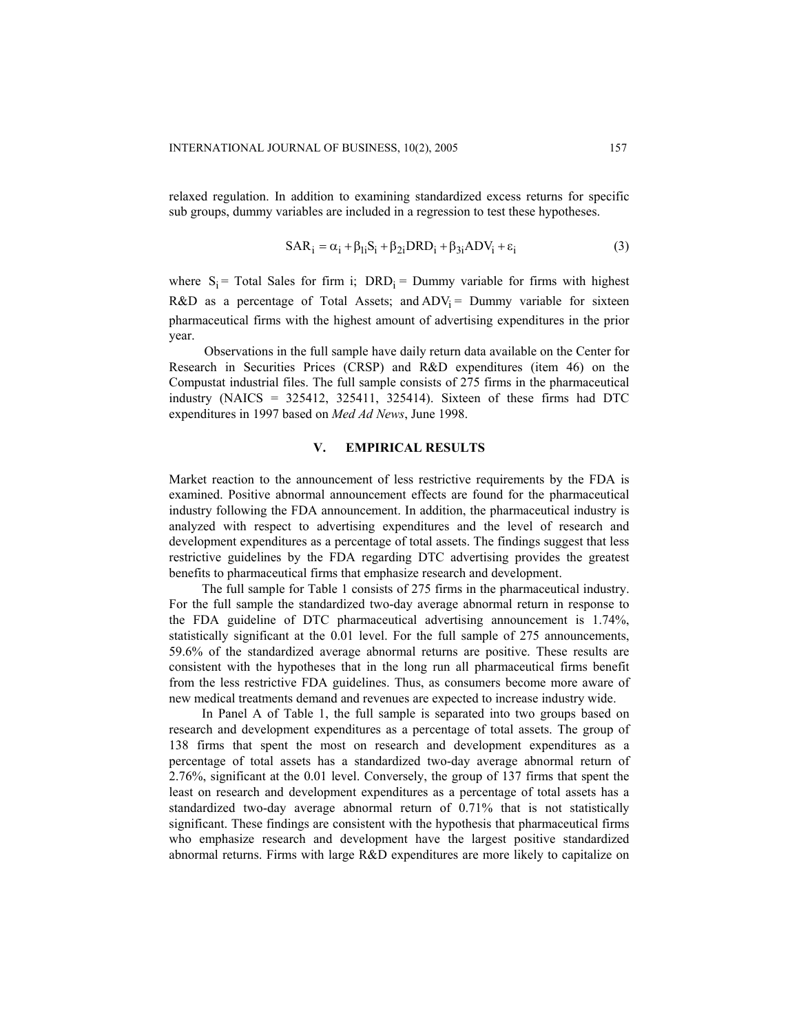relaxed regulation. In addition to examining standardized excess returns for specific sub groups, dummy variables are included in a regression to test these hypotheses.

$$
SAR_i = \alpha_i + \beta_{1i}S_i + \beta_{2i}DRD_i + \beta_{3i}ADV_i + \varepsilon_i
$$
 (3)

where  $S_i$  = Total Sales for firm i; DRD<sub>i</sub> = Dummy variable for firms with highest R&D as a percentage of Total Assets; and  $ADV_i =$  Dummy variable for sixteen pharmaceutical firms with the highest amount of advertising expenditures in the prior year.

Observations in the full sample have daily return data available on the Center for Research in Securities Prices (CRSP) and R&D expenditures (item 46) on the Compustat industrial files. The full sample consists of 275 firms in the pharmaceutical industry (NAICS =  $325412$ ,  $325411$ ,  $325414$ ). Sixteen of these firms had DTC expenditures in 1997 based on *Med Ad News*, June 1998.

#### **V. EMPIRICAL RESULTS**

Market reaction to the announcement of less restrictive requirements by the FDA is examined. Positive abnormal announcement effects are found for the pharmaceutical industry following the FDA announcement. In addition, the pharmaceutical industry is analyzed with respect to advertising expenditures and the level of research and development expenditures as a percentage of total assets. The findings suggest that less restrictive guidelines by the FDA regarding DTC advertising provides the greatest benefits to pharmaceutical firms that emphasize research and development.

 The full sample for Table 1 consists of 275 firms in the pharmaceutical industry. For the full sample the standardized two-day average abnormal return in response to the FDA guideline of DTC pharmaceutical advertising announcement is 1.74%, statistically significant at the 0.01 level. For the full sample of 275 announcements, 59.6% of the standardized average abnormal returns are positive. These results are consistent with the hypotheses that in the long run all pharmaceutical firms benefit from the less restrictive FDA guidelines. Thus, as consumers become more aware of new medical treatments demand and revenues are expected to increase industry wide.

 In Panel A of Table 1, the full sample is separated into two groups based on research and development expenditures as a percentage of total assets. The group of 138 firms that spent the most on research and development expenditures as a percentage of total assets has a standardized two-day average abnormal return of 2.76%, significant at the 0.01 level. Conversely, the group of 137 firms that spent the least on research and development expenditures as a percentage of total assets has a standardized two-day average abnormal return of 0.71% that is not statistically significant. These findings are consistent with the hypothesis that pharmaceutical firms who emphasize research and development have the largest positive standardized abnormal returns. Firms with large R&D expenditures are more likely to capitalize on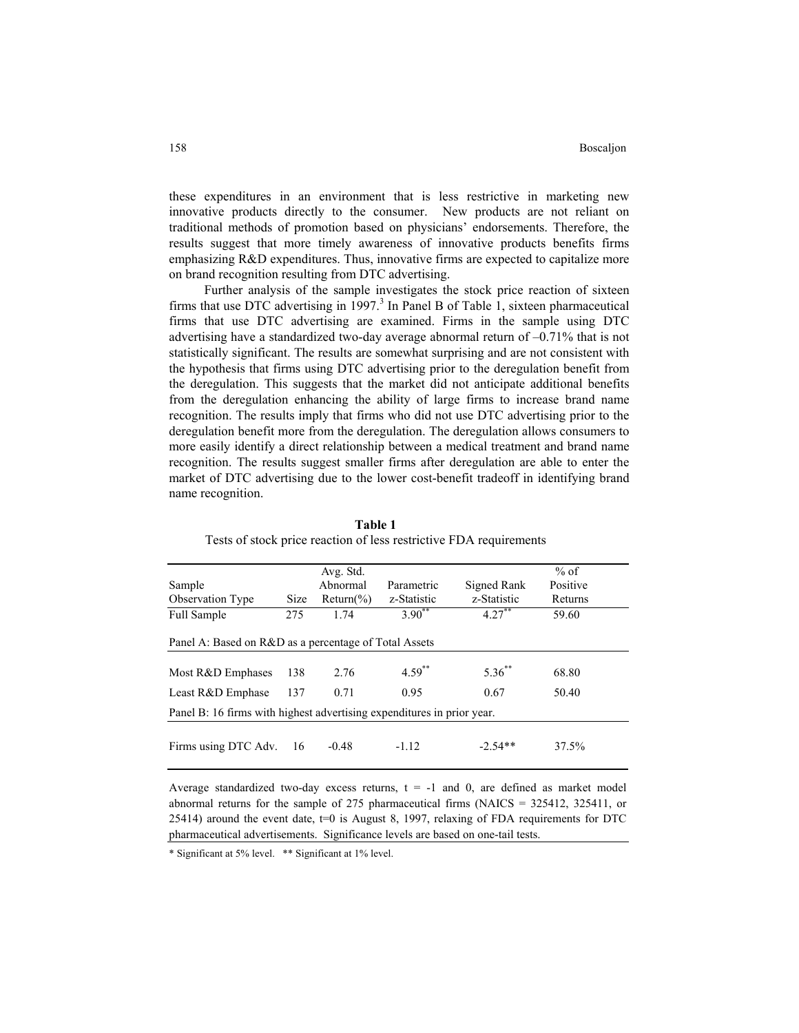these expenditures in an environment that is less restrictive in marketing new innovative products directly to the consumer. New products are not reliant on traditional methods of promotion based on physicians' endorsements. Therefore, the results suggest that more timely awareness of innovative products benefits firms emphasizing R&D expenditures. Thus, innovative firms are expected to capitalize more on brand recognition resulting from DTC advertising.

 Further analysis of the sample investigates the stock price reaction of sixteen firms that use DTC advertising in 1997.<sup>3</sup> In Panel B of Table 1, sixteen pharmaceutical firms that use DTC advertising are examined. Firms in the sample using DTC advertising have a standardized two-day average abnormal return of –0.71% that is not statistically significant. The results are somewhat surprising and are not consistent with the hypothesis that firms using DTC advertising prior to the deregulation benefit from the deregulation. This suggests that the market did not anticipate additional benefits from the deregulation enhancing the ability of large firms to increase brand name recognition. The results imply that firms who did not use DTC advertising prior to the deregulation benefit more from the deregulation. The deregulation allows consumers to more easily identify a direct relationship between a medical treatment and brand name recognition. The results suggest smaller firms after deregulation are able to enter the market of DTC advertising due to the lower cost-benefit tradeoff in identifying brand name recognition.

|                                                                        |             | Avg. Std.    |             |             | $%$ of   |  |
|------------------------------------------------------------------------|-------------|--------------|-------------|-------------|----------|--|
| Sample                                                                 |             | Abnormal     | Parametric  | Signed Rank | Positive |  |
| Observation Type                                                       | <b>Size</b> | $Return$ (%) | z-Statistic | z-Statistic | Returns  |  |
| Full Sample                                                            | 275         | 1.74         | $3.90^{**}$ | $4.27^{**}$ | 59.60    |  |
| Panel A: Based on R&D as a percentage of Total Assets                  |             |              |             |             |          |  |
| Most R&D Emphases                                                      | 138         | 2.76         | $4.59^{**}$ | $5.36^{**}$ | 68.80    |  |
| Least R&D Emphase                                                      | 137         | 0.71         | 0.95        | 0.67        | 50.40    |  |
| Panel B: 16 firms with highest advertising expenditures in prior year. |             |              |             |             |          |  |
|                                                                        |             |              |             |             |          |  |
| Firms using DTC Adv.                                                   | 16          | $-0.48$      | $-1.12$     | $-2.54**$   | 37.5%    |  |

**Table 1**  Tests of stock price reaction of less restrictive FDA requirements

Average standardized two-day excess returns,  $t = -1$  and 0, are defined as market model abnormal returns for the sample of 275 pharmaceutical firms (NAICS = 325412, 325411, or 25414) around the event date, t=0 is August 8, 1997, relaxing of FDA requirements for DTC pharmaceutical advertisements. Significance levels are based on one-tail tests.

\* Significant at 5% level. \*\* Significant at 1% level.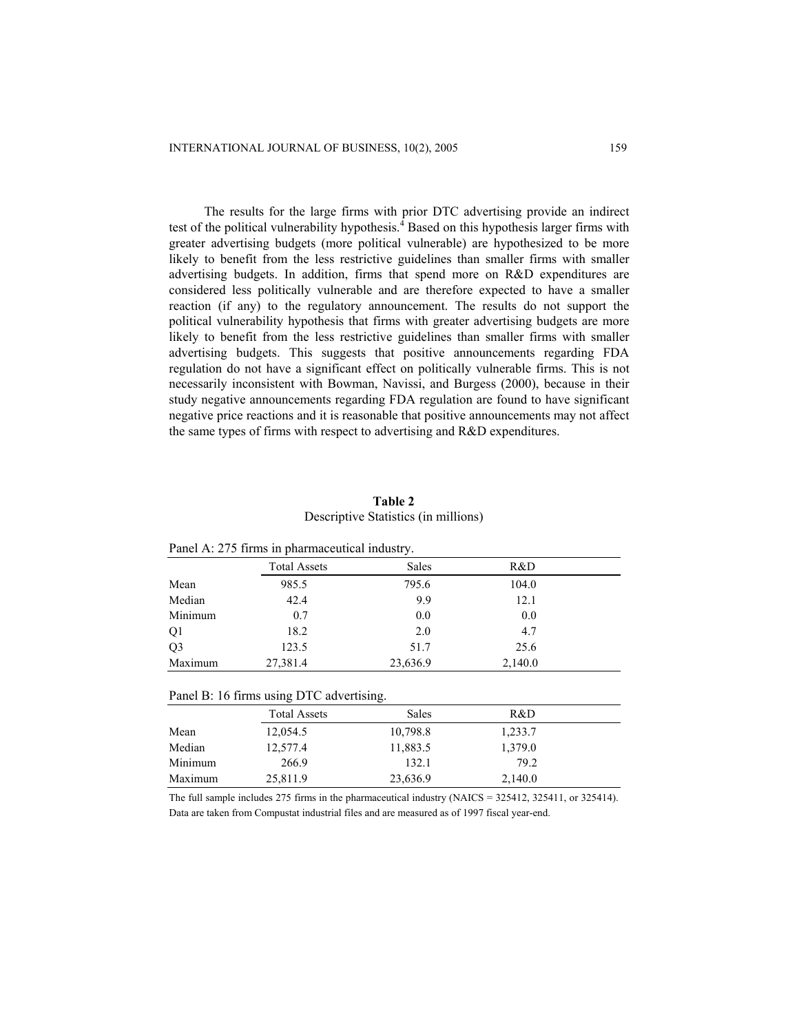The results for the large firms with prior DTC advertising provide an indirect test of the political vulnerability hypothesis.<sup>4</sup> Based on this hypothesis larger firms with greater advertising budgets (more political vulnerable) are hypothesized to be more likely to benefit from the less restrictive guidelines than smaller firms with smaller advertising budgets. In addition, firms that spend more on R&D expenditures are considered less politically vulnerable and are therefore expected to have a smaller reaction (if any) to the regulatory announcement. The results do not support the political vulnerability hypothesis that firms with greater advertising budgets are more likely to benefit from the less restrictive guidelines than smaller firms with smaller advertising budgets. This suggests that positive announcements regarding FDA regulation do not have a significant effect on politically vulnerable firms. This is not necessarily inconsistent with Bowman, Navissi, and Burgess (2000), because in their study negative announcements regarding FDA regulation are found to have significant negative price reactions and it is reasonable that positive announcements may not affect the same types of firms with respect to advertising and R&D expenditures.

# **Table 2**  Descriptive Statistics (in millions)

| $\frac{1}{2}$ and $\frac{1}{2}$ is the sum position of the sum in the sum $\frac{1}{2}$ . |                     |          |         |  |  |  |
|-------------------------------------------------------------------------------------------|---------------------|----------|---------|--|--|--|
|                                                                                           | <b>Total Assets</b> | Sales    | R&D     |  |  |  |
| Mean                                                                                      | 985.5               | 795.6    | 104.0   |  |  |  |
| Median                                                                                    | 42.4                | 9.9      | 12.1    |  |  |  |
| Minimum                                                                                   | 0.7                 | 0.0      | 0.0     |  |  |  |
| Q1                                                                                        | 18.2                | 2.0      | 4.7     |  |  |  |
| Q <sub>3</sub>                                                                            | 123.5               | 51.7     | 25.6    |  |  |  |
| Maximum                                                                                   | 27,381.4            | 23,636.9 | 2,140.0 |  |  |  |

| Panel B: 16 firms using DTC advertising. |                     |          |         |  |  |
|------------------------------------------|---------------------|----------|---------|--|--|
|                                          | <b>Total Assets</b> | Sales    | R&D     |  |  |
| Mean                                     | 12,054.5            | 10,798.8 | 1,233.7 |  |  |
| Median                                   | 12,577.4            | 11,883.5 | 1,379.0 |  |  |
| Minimum                                  | 266.9               | 132.1    | 79.2    |  |  |
| Maximum                                  | 25,811.9            | 23,636.9 | 2,140.0 |  |  |

The full sample includes 275 firms in the pharmaceutical industry (NAICS = 325412, 325411, or 325414). Data are taken from Compustat industrial files and are measured as of 1997 fiscal year-end.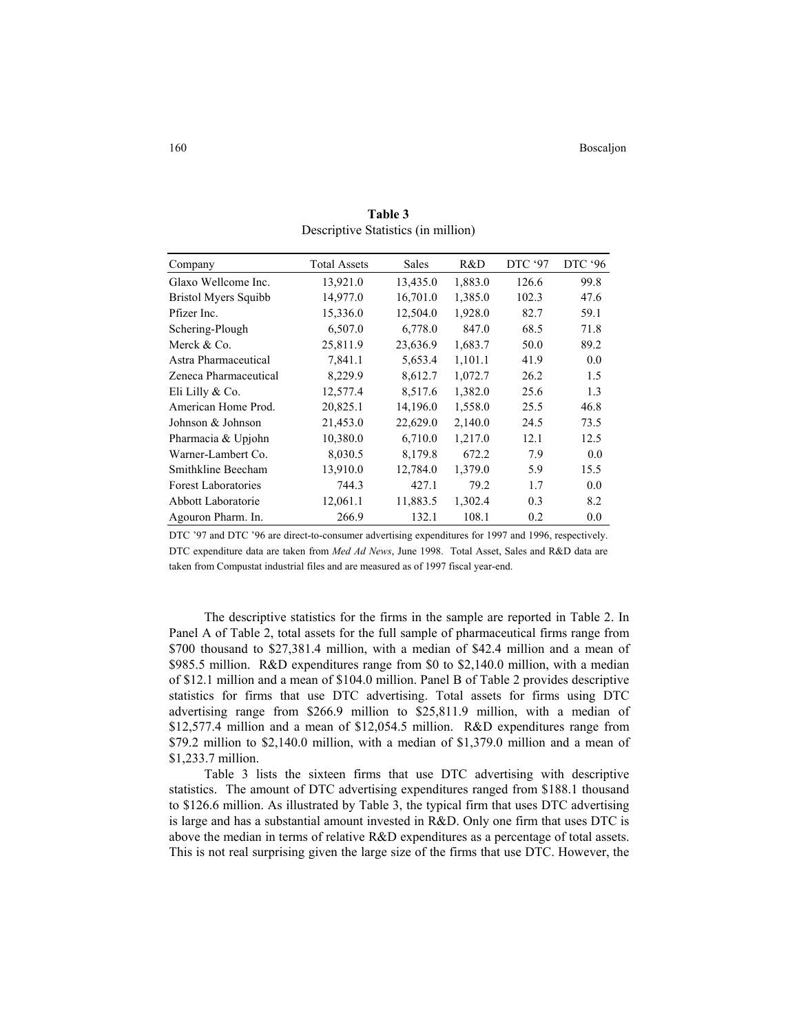| Company                     | <b>Total Assets</b> | Sales    | R&D     | DTC '97 | DTC '96 |
|-----------------------------|---------------------|----------|---------|---------|---------|
| Glaxo Wellcome Inc.         | 13,921.0            | 13,435.0 | 1,883.0 | 126.6   | 99.8    |
| <b>Bristol Myers Squibb</b> | 14,977.0            | 16,701.0 | 1,385.0 | 102.3   | 47.6    |
| Pfizer Inc.                 | 15,336.0            | 12,504.0 | 1,928.0 | 82.7    | 59.1    |
| Schering-Plough             | 6,507.0             | 6,778.0  | 847.0   | 68.5    | 71.8    |
| Merck & Co.                 | 25,811.9            | 23,636.9 | 1,683.7 | 50.0    | 89.2    |
| Astra Pharmaceutical        | 7,841.1             | 5,653.4  | 1,101.1 | 41.9    | 0.0     |
| Zeneca Pharmaceutical       | 8,229.9             | 8,612.7  | 1,072.7 | 26.2    | 1.5     |
| Eli Lilly & Co.             | 12,577.4            | 8,517.6  | 1,382.0 | 25.6    | 1.3     |
| American Home Prod.         | 20,825.1            | 14,196.0 | 1,558.0 | 25.5    | 46.8    |
| Johnson & Johnson           | 21,453.0            | 22,629.0 | 2,140.0 | 24.5    | 73.5    |
| Pharmacia & Upjohn          | 10,380.0            | 6,710.0  | 1,217.0 | 12.1    | 12.5    |
| Warner-Lambert Co.          | 8,030.5             | 8,179.8  | 672.2   | 7.9     | 0.0     |
| Smithkline Beecham          | 13,910.0            | 12,784.0 | 1,379.0 | 5.9     | 15.5    |
| <b>Forest Laboratories</b>  | 744.3               | 427.1    | 79.2    | 1.7     | 0.0     |
| Abbott Laboratorie          | 12,061.1            | 11,883.5 | 1,302.4 | 0.3     | 8.2     |
| Agouron Pharm. In.          | 266.9               | 132.1    | 108.1   | 0.2     | 0.0     |

**Table 3**  Descriptive Statistics (in million)

DTC '97 and DTC '96 are direct-to-consumer advertising expenditures for 1997 and 1996, respectively. DTC expenditure data are taken from *Med Ad News*, June 1998. Total Asset, Sales and R&D data are taken from Compustat industrial files and are measured as of 1997 fiscal year-end.

 The descriptive statistics for the firms in the sample are reported in Table 2. In Panel A of Table 2, total assets for the full sample of pharmaceutical firms range from \$700 thousand to \$27,381.4 million, with a median of \$42.4 million and a mean of \$985.5 million. R&D expenditures range from \$0 to \$2,140.0 million, with a median of \$12.1 million and a mean of \$104.0 million. Panel B of Table 2 provides descriptive statistics for firms that use DTC advertising. Total assets for firms using DTC advertising range from \$266.9 million to \$25,811.9 million, with a median of \$12,577.4 million and a mean of \$12,054.5 million. R&D expenditures range from \$79.2 million to \$2,140.0 million, with a median of \$1,379.0 million and a mean of \$1,233.7 million.

 Table 3 lists the sixteen firms that use DTC advertising with descriptive statistics. The amount of DTC advertising expenditures ranged from \$188.1 thousand to \$126.6 million. As illustrated by Table 3, the typical firm that uses DTC advertising is large and has a substantial amount invested in R&D. Only one firm that uses DTC is above the median in terms of relative R&D expenditures as a percentage of total assets. This is not real surprising given the large size of the firms that use DTC. However, the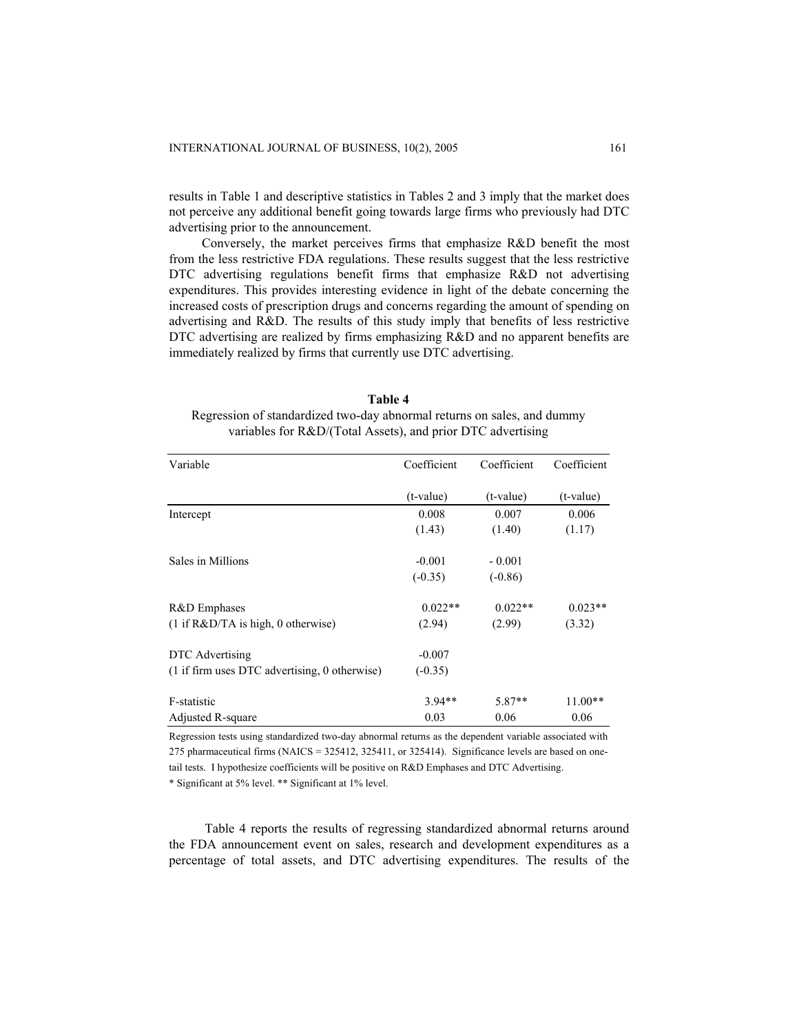results in Table 1 and descriptive statistics in Tables 2 and 3 imply that the market does not perceive any additional benefit going towards large firms who previously had DTC advertising prior to the announcement.

 Conversely, the market perceives firms that emphasize R&D benefit the most from the less restrictive FDA regulations. These results suggest that the less restrictive DTC advertising regulations benefit firms that emphasize R&D not advertising expenditures. This provides interesting evidence in light of the debate concerning the increased costs of prescription drugs and concerns regarding the amount of spending on advertising and R&D. The results of this study imply that benefits of less restrictive DTC advertising are realized by firms emphasizing R&D and no apparent benefits are immediately realized by firms that currently use DTC advertising.

| Table 4                                                                 |
|-------------------------------------------------------------------------|
| Regression of standardized two-day abnormal returns on sales, and dummy |
| variables for R&D/(Total Assets), and prior DTC advertising             |

| Variable                                      | Coefficient | Coefficient | Coefficient |
|-----------------------------------------------|-------------|-------------|-------------|
|                                               | $(t-value)$ | $(t-value)$ | $(t-value)$ |
| Intercept                                     | 0.008       | 0.007       | 0.006       |
|                                               | (1.43)      | (1.40)      | (1.17)      |
| Sales in Millions                             | $-0.001$    | $-0.001$    |             |
|                                               | $(-0.35)$   | $(-0.86)$   |             |
| R&D Emphases                                  | $0.022**$   | $0.022**$   | $0.023**$   |
| $(1$ if $R&D/TA$ is high, 0 otherwise)        | (2.94)      | (2.99)      | (3.32)      |
| DTC Advertising                               | $-0.007$    |             |             |
| (1 if firm uses DTC advertising, 0 otherwise) | $(-0.35)$   |             |             |
| F-statistic                                   | $3.94**$    | 5.87**      | $11.00**$   |
| Adjusted R-square                             | 0.03        | 0.06        | 0.06        |

Regression tests using standardized two-day abnormal returns as the dependent variable associated with 275 pharmaceutical firms (NAICS = 325412, 325411, or 325414). Significance levels are based on onetail tests. I hypothesize coefficients will be positive on R&D Emphases and DTC Advertising.

\* Significant at 5% level. \*\* Significant at 1% level.

Table 4 reports the results of regressing standardized abnormal returns around the FDA announcement event on sales, research and development expenditures as a percentage of total assets, and DTC advertising expenditures. The results of the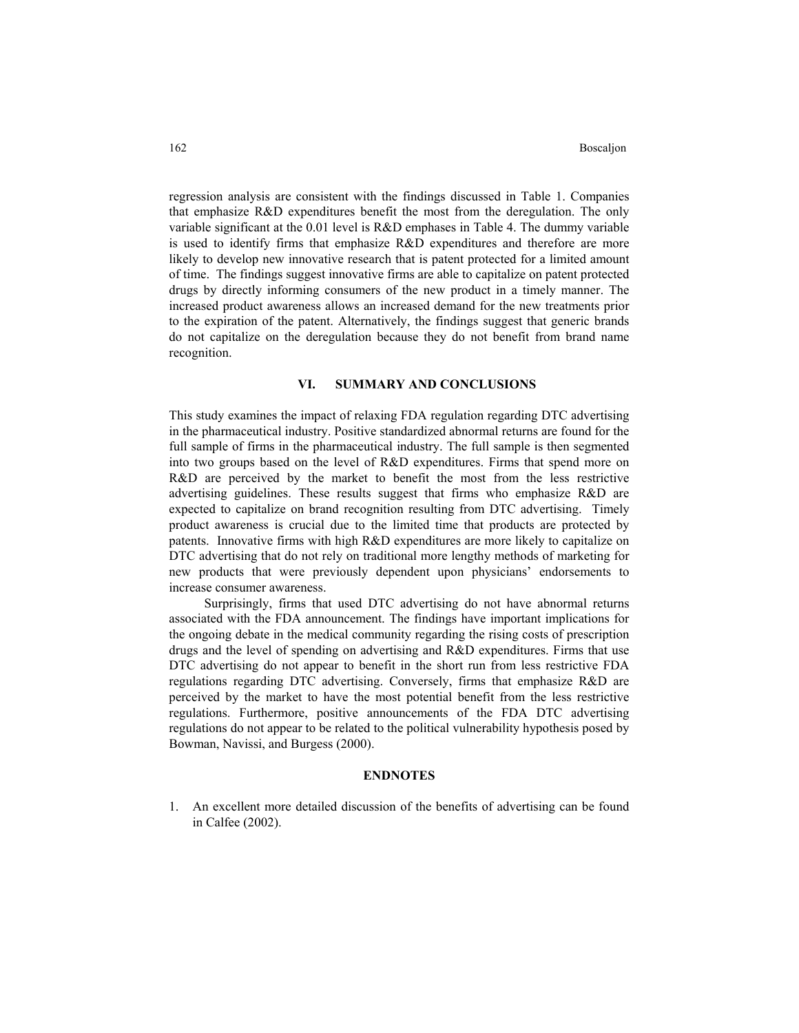regression analysis are consistent with the findings discussed in Table 1. Companies that emphasize R&D expenditures benefit the most from the deregulation. The only variable significant at the 0.01 level is R&D emphases in Table 4. The dummy variable is used to identify firms that emphasize R&D expenditures and therefore are more likely to develop new innovative research that is patent protected for a limited amount of time. The findings suggest innovative firms are able to capitalize on patent protected drugs by directly informing consumers of the new product in a timely manner. The increased product awareness allows an increased demand for the new treatments prior to the expiration of the patent. Alternatively, the findings suggest that generic brands do not capitalize on the deregulation because they do not benefit from brand name recognition.

# **VI. SUMMARY AND CONCLUSIONS**

This study examines the impact of relaxing FDA regulation regarding DTC advertising in the pharmaceutical industry. Positive standardized abnormal returns are found for the full sample of firms in the pharmaceutical industry. The full sample is then segmented into two groups based on the level of R&D expenditures. Firms that spend more on R&D are perceived by the market to benefit the most from the less restrictive advertising guidelines. These results suggest that firms who emphasize R&D are expected to capitalize on brand recognition resulting from DTC advertising. Timely product awareness is crucial due to the limited time that products are protected by patents. Innovative firms with high R&D expenditures are more likely to capitalize on DTC advertising that do not rely on traditional more lengthy methods of marketing for new products that were previously dependent upon physicians' endorsements to increase consumer awareness.

Surprisingly, firms that used DTC advertising do not have abnormal returns associated with the FDA announcement. The findings have important implications for the ongoing debate in the medical community regarding the rising costs of prescription drugs and the level of spending on advertising and R&D expenditures. Firms that use DTC advertising do not appear to benefit in the short run from less restrictive FDA regulations regarding DTC advertising. Conversely, firms that emphasize R&D are perceived by the market to have the most potential benefit from the less restrictive regulations. Furthermore, positive announcements of the FDA DTC advertising regulations do not appear to be related to the political vulnerability hypothesis posed by Bowman, Navissi, and Burgess (2000).

# **ENDNOTES**

1. An excellent more detailed discussion of the benefits of advertising can be found in Calfee (2002).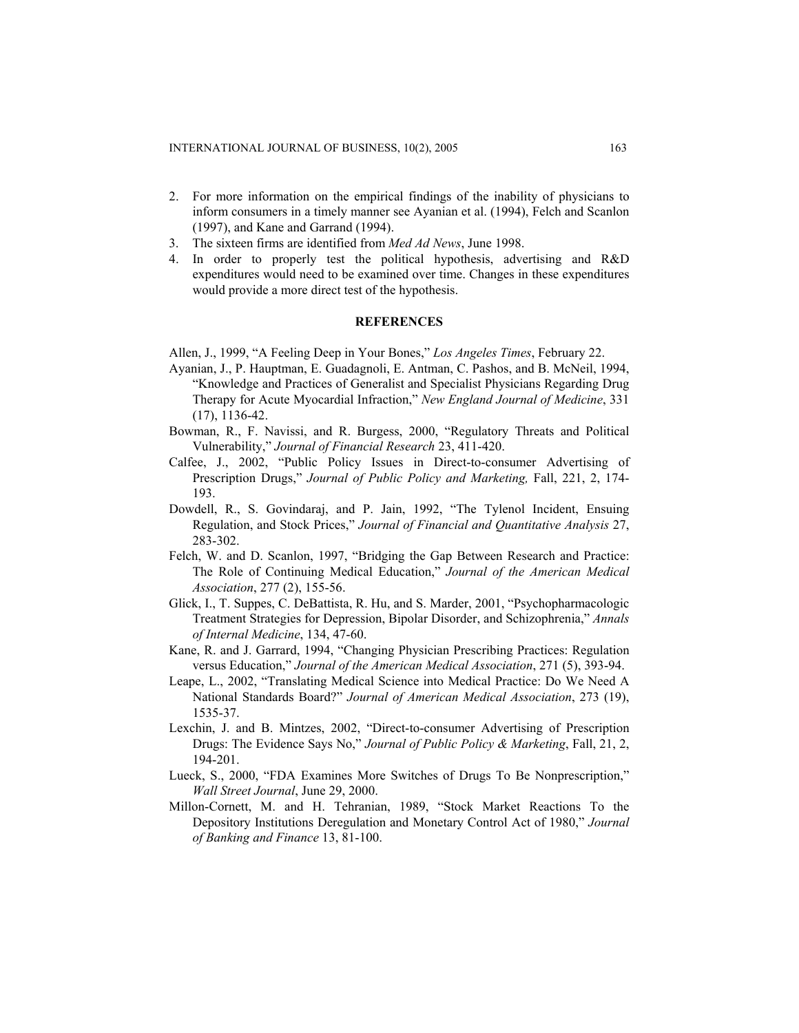- 2. For more information on the empirical findings of the inability of physicians to inform consumers in a timely manner see Ayanian et al. (1994), Felch and Scanlon (1997), and Kane and Garrand (1994).
- 3. The sixteen firms are identified from *Med Ad News*, June 1998.
- 4. In order to properly test the political hypothesis, advertising and R&D expenditures would need to be examined over time. Changes in these expenditures would provide a more direct test of the hypothesis.

# **REFERENCES**

Allen, J., 1999, "A Feeling Deep in Your Bones," *Los Angeles Times*, February 22.

- Ayanian, J., P. Hauptman, E. Guadagnoli, E. Antman, C. Pashos, and B. McNeil, 1994, "Knowledge and Practices of Generalist and Specialist Physicians Regarding Drug Therapy for Acute Myocardial Infraction," *New England Journal of Medicine*, 331 (17), 1136-42.
- Bowman, R., F. Navissi, and R. Burgess, 2000, "Regulatory Threats and Political Vulnerability," *Journal of Financial Research* 23, 411-420.
- Calfee, J., 2002, "Public Policy Issues in Direct-to-consumer Advertising of Prescription Drugs," *Journal of Public Policy and Marketing,* Fall, 221, 2, 174- 193.
- Dowdell, R., S. Govindaraj, and P. Jain, 1992, "The Tylenol Incident, Ensuing Regulation, and Stock Prices," *Journal of Financial and Quantitative Analysis* 27, 283-302.
- Felch, W. and D. Scanlon, 1997, "Bridging the Gap Between Research and Practice: The Role of Continuing Medical Education," *Journal of the American Medical Association*, 277 (2), 155-56.
- Glick, I., T. Suppes, C. DeBattista, R. Hu, and S. Marder, 2001, "Psychopharmacologic Treatment Strategies for Depression, Bipolar Disorder, and Schizophrenia," *Annals of Internal Medicine*, 134, 47-60.
- Kane, R. and J. Garrard, 1994, "Changing Physician Prescribing Practices: Regulation versus Education," *Journal of the American Medical Association*, 271 (5), 393-94.
- Leape, L., 2002, "Translating Medical Science into Medical Practice: Do We Need A National Standards Board?" *Journal of American Medical Association*, 273 (19), 1535-37.
- Lexchin, J. and B. Mintzes, 2002, "Direct-to-consumer Advertising of Prescription Drugs: The Evidence Says No," *Journal of Public Policy & Marketing*, Fall, 21, 2, 194-201.
- Lueck, S., 2000, "FDA Examines More Switches of Drugs To Be Nonprescription," *Wall Street Journal*, June 29, 2000.
- Millon-Cornett, M. and H. Tehranian, 1989, "Stock Market Reactions To the Depository Institutions Deregulation and Monetary Control Act of 1980," *Journal of Banking and Finance* 13, 81-100.